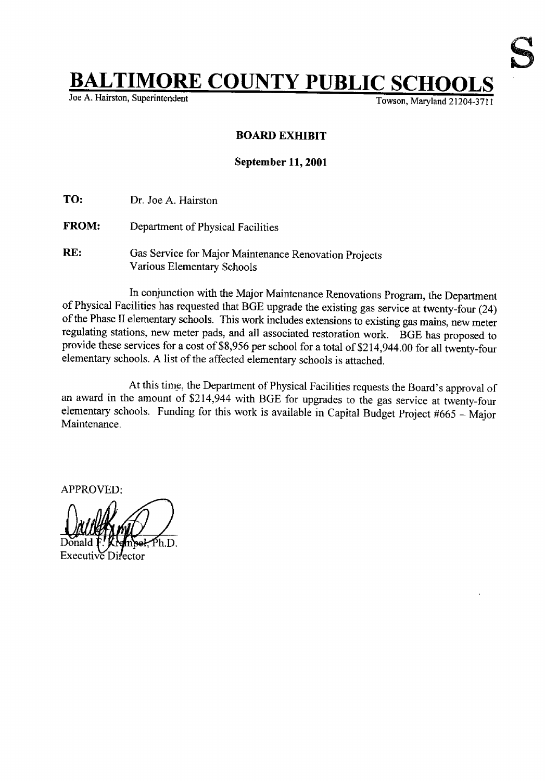## **BALTIMORE COUNTY PUBLIC SCHOOL**

Joe A. Hairston, Superintendent

## BOARD EXHIBIT

## September 11, 2001

TO: Dr. Joe A. Hairston

- FROM: Department of Physical Facilities
- RE: Gas Service for Major Maintenance Renovation Projects Various Elementary Schools

In conjunction with the Major Maintenance Renovations Program, the Department of Physical Facilities has requested that BGE upgrade the existing gas service at twenty-four (24) ofthe Phase <sup>11</sup> elementary schools. This work includes extensions to existing gas mains, new meter regulating stations, new meter pads, and all associated restoration work. BGE has proposed to provide these services for <sup>a</sup> cost of\$8,956 per school for <sup>a</sup> total of \$214,944.00 for all twenty-four elementary schools. A list of the affected elementary schools is attached.

At this time, the Department of Physical Facilities requests the Board's approval of an award in the amount of \$214,944 with BGE for upgrades to the gas service at twenty-four elementary schools. Funding for this work is available in Capital Budget Project #665 - Major Maintenance.

APPROVED:

1 **JALLAPTA** Donak